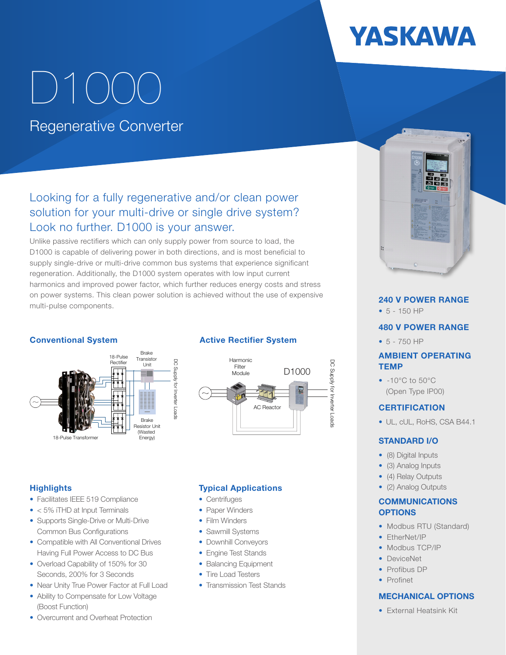## **YASKAWA**

# D1000

### Regenerative Converter

#### Looking for a fully regenerative and/or clean power solution for your multi-drive or single drive system? Look no further. D1000 is your answer.

Unlike passive rectifiers which can only supply power from source to load, the D1000 is capable of delivering power in both directions, and is most beneficial to supply single-drive or multi-drive common bus systems that experience significant regeneration. Additionally, the D1000 system operates with low input current harmonics and improved power factor, which further reduces energy costs and stress on power systems. This clean power solution is achieved without the use of expensive multi-pulse components.



#### **Conventional System Conventional System Active Rectifier System**



#### **Highlights**

- Facilitates IEEE 519 Compliance
- < 5% iTHD at Input Terminals
- Supports Single-Drive or Multi-Drive Common Bus Configurations
- Compatible with All Conventional Drives Having Full Power Access to DC Bus
- Overload Capability of 150% for 30 Seconds, 200% for 3 Seconds
- Near Unity True Power Factor at Full Load
- Ability to Compensate for Low Voltage (Boost Function)
- Overcurrent and Overheat Protection

#### Typical Applications

- Centrifuges
- Paper Winders
- Film Winders
- Sawmill Systems
- Downhill Conveyors
- Engine Test Stands
- Balancing Equipment
- Tire Load Testers
- Transmission Test Stands



#### 240 V POWER RANGE • 5 - 150 HP

#### 480 V POWER RANGE

• 5 - 750 HP

#### AMBIENT OPERATING **TEMP**

 $\bullet$  -10°C to 50°C (Open Type IP00)

#### **CERTIFICATION**

• UL, cUL, RoHS, CSA B44.1

#### STANDARD I/O

- (8) Digital Inputs
- (3) Analog Inputs
- (4) Relay Outputs
- (2) Analog Outputs

#### **COMMUNICATIONS OPTIONS**

- Modbus RTU (Standard)
- EtherNet/IP
- Modbus TCP/IP
- DeviceNet
- Profibus DP
- Profinet

#### MECHANICAL OPTIONS

• External Heatsink Kit